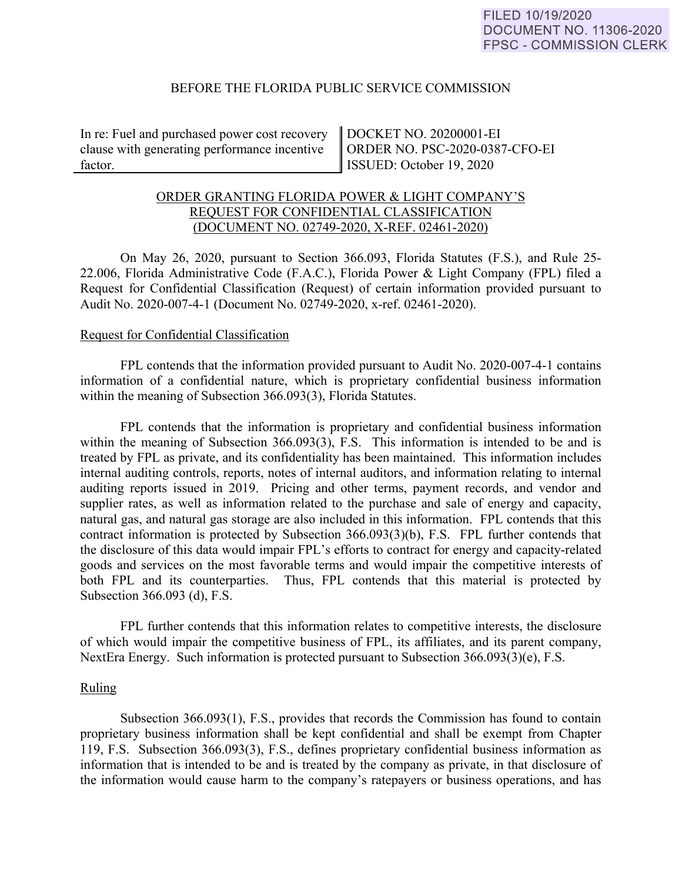### BEFORE THE FLORIDA PUBLIC SERVICE COMMISSION

In re: Fuel and purchased power cost recovery clause with generating performance incentive factor.

DOCKET NO. 20200001-EI ORDER NO. PSC-2020-0387-CFO-EI ISSUED: October 19, 2020

# ORDER GRANTING FLORIDA POWER & LIGHT COMPANY'S REQUEST FOR CONFIDENTIAL CLASSIFICATION (DOCUMENT NO. 02749-2020, X-REF. 02461-2020)

On May 26, 2020, pursuant to Section 366.093, Florida Statutes (F.S.), and Rule 25- 22.006, Florida Administrative Code (F.A.C.), Florida Power & Light Company (FPL) filed a Request for Confidential Classification (Request) of certain information provided pursuant to Audit No. 2020-007-4-1 (Document No. 02749-2020, x-ref. 02461-2020).

### Request for Confidential Classification

 FPL contends that the information provided pursuant to Audit No. 2020-007-4-1 contains information of a confidential nature, which is proprietary confidential business information within the meaning of Subsection 366.093(3), Florida Statutes.

FPL contends that the information is proprietary and confidential business information within the meaning of Subsection 366.093(3), F.S. This information is intended to be and is treated by FPL as private, and its confidentiality has been maintained. This information includes internal auditing controls, reports, notes of internal auditors, and information relating to internal auditing reports issued in 2019. Pricing and other terms, payment records, and vendor and supplier rates, as well as information related to the purchase and sale of energy and capacity, natural gas, and natural gas storage are also included in this information. FPL contends that this contract information is protected by Subsection 366.093(3)(b), F.S. FPL further contends that the disclosure of this data would impair FPL's efforts to contract for energy and capacity-related goods and services on the most favorable terms and would impair the competitive interests of both FPL and its counterparties. Thus, FPL contends that this material is protected by Subsection 366.093 (d), F.S.

FPL further contends that this information relates to competitive interests, the disclosure of which would impair the competitive business of FPL, its affiliates, and its parent company, NextEra Energy. Such information is protected pursuant to Subsection 366.093(3)(e), F.S.

#### Ruling

Subsection 366.093(1), F.S., provides that records the Commission has found to contain proprietary business information shall be kept confidential and shall be exempt from Chapter 119, F.S. Subsection 366.093(3), F.S., defines proprietary confidential business information as information that is intended to be and is treated by the company as private, in that disclosure of the information would cause harm to the company's ratepayers or business operations, and has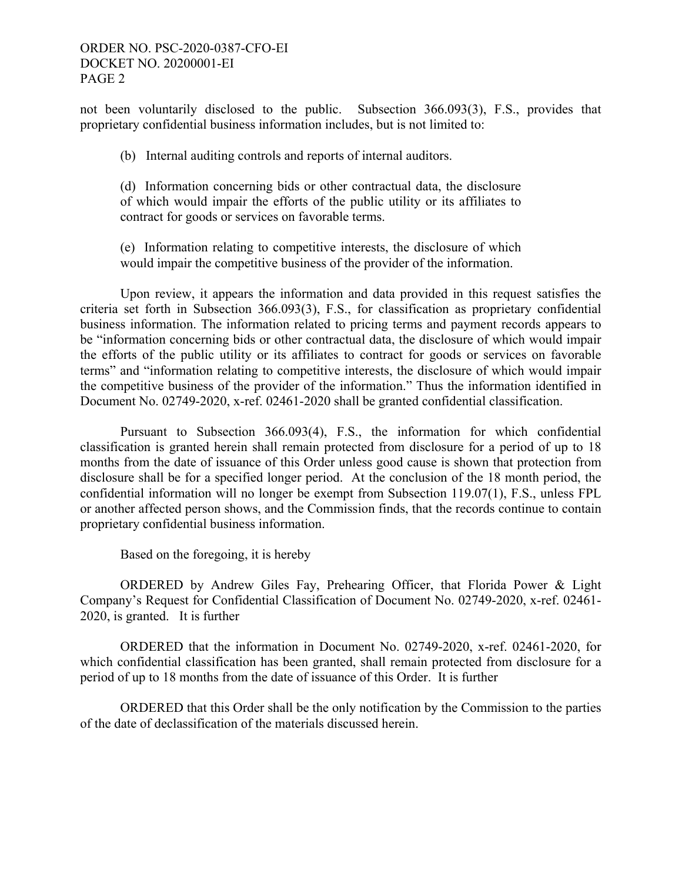# ORDER NO. PSC-2020-0387-CFO-EI DOCKET NO. 20200001-EI PAGE 2

not been voluntarily disclosed to the public. Subsection 366.093(3), F.S., provides that proprietary confidential business information includes, but is not limited to:

(b) Internal auditing controls and reports of internal auditors.

(d) Information concerning bids or other contractual data, the disclosure of which would impair the efforts of the public utility or its affiliates to contract for goods or services on favorable terms.

(e) Information relating to competitive interests, the disclosure of which would impair the competitive business of the provider of the information.

Upon review, it appears the information and data provided in this request satisfies the criteria set forth in Subsection 366.093(3), F.S., for classification as proprietary confidential business information. The information related to pricing terms and payment records appears to be "information concerning bids or other contractual data, the disclosure of which would impair the efforts of the public utility or its affiliates to contract for goods or services on favorable terms" and "information relating to competitive interests, the disclosure of which would impair the competitive business of the provider of the information." Thus the information identified in Document No. 02749-2020, x-ref. 02461-2020 shall be granted confidential classification.

Pursuant to Subsection 366.093(4), F.S., the information for which confidential classification is granted herein shall remain protected from disclosure for a period of up to 18 months from the date of issuance of this Order unless good cause is shown that protection from disclosure shall be for a specified longer period. At the conclusion of the 18 month period, the confidential information will no longer be exempt from Subsection 119.07(1), F.S., unless FPL or another affected person shows, and the Commission finds, that the records continue to contain proprietary confidential business information.

Based on the foregoing, it is hereby

 ORDERED by Andrew Giles Fay, Prehearing Officer, that Florida Power & Light Company's Request for Confidential Classification of Document No. 02749-2020, x-ref. 02461- 2020, is granted. It is further

 ORDERED that the information in Document No. 02749-2020, x-ref. 02461-2020, for which confidential classification has been granted, shall remain protected from disclosure for a period of up to 18 months from the date of issuance of this Order. It is further

 ORDERED that this Order shall be the only notification by the Commission to the parties of the date of declassification of the materials discussed herein.